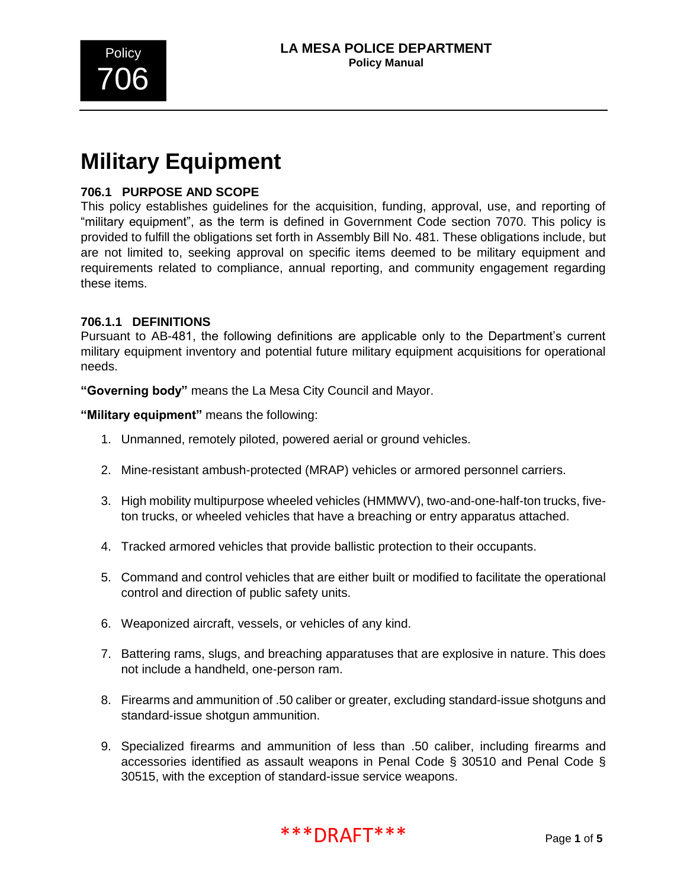

# **Military Equipment**

## **706.1 PURPOSE AND SCOPE**

This policy establishes guidelines for the acquisition, funding, approval, use, and reporting of "military equipment", as the term is defined in Government Code section 7070. This policy is provided to fulfill the obligations set forth in Assembly Bill No. 481. These obligations include, but are not limited to, seeking approval on specific items deemed to be military equipment and requirements related to compliance, annual reporting, and community engagement regarding these items.

## **706.1.1 DEFINITIONS**

Pursuant to AB-481, the following definitions are applicable only to the Department's current military equipment inventory and potential future military equipment acquisitions for operational needs.

**"Governing body"** means the La Mesa City Council and Mayor.

**"Military equipment"** means the following:

- 1. Unmanned, remotely piloted, powered aerial or ground vehicles.
- 2. Mine-resistant ambush-protected (MRAP) vehicles or armored personnel carriers.
- 3. High mobility multipurpose wheeled vehicles (HMMWV), two-and-one-half-ton trucks, fiveton trucks, or wheeled vehicles that have a breaching or entry apparatus attached.
- 4. Tracked armored vehicles that provide ballistic protection to their occupants.
- 5. Command and control vehicles that are either built or modified to facilitate the operational control and direction of public safety units.
- 6. Weaponized aircraft, vessels, or vehicles of any kind.
- 7. Battering rams, slugs, and breaching apparatuses that are explosive in nature. This does not include a handheld, one-person ram.
- 8. Firearms and ammunition of .50 caliber or greater, excluding standard-issue shotguns and standard-issue shotgun ammunition.
- 9. Specialized firearms and ammunition of less than .50 caliber, including firearms and accessories identified as assault weapons in Penal Code § 30510 and Penal Code § 30515, with the exception of standard-issue service weapons.

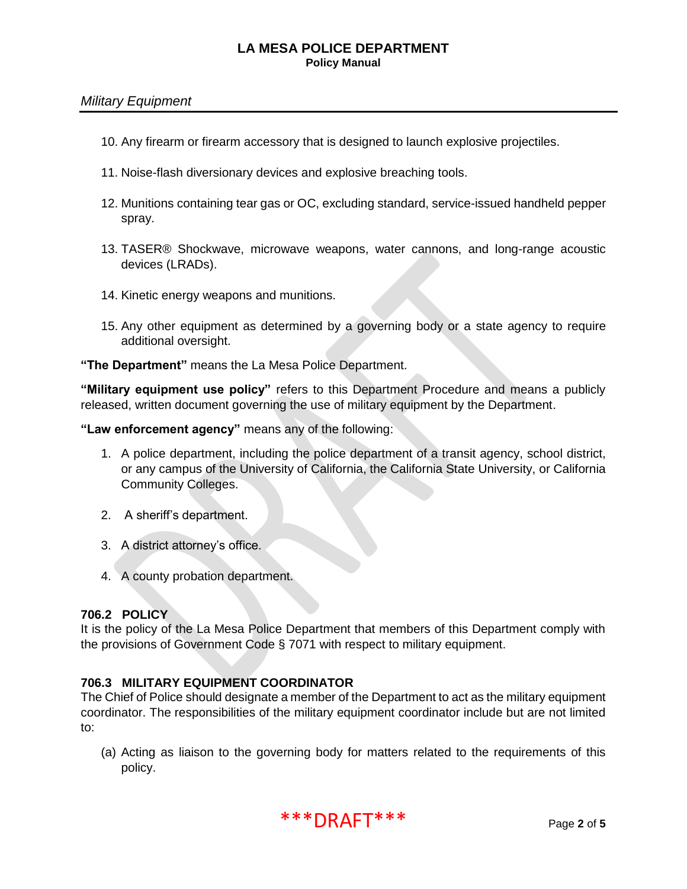## *Military Equipment*

- 10. Any firearm or firearm accessory that is designed to launch explosive projectiles.
- 11. Noise-flash diversionary devices and explosive breaching tools.
- 12. Munitions containing tear gas or OC, excluding standard, service-issued handheld pepper spray.
- 13. TASER® Shockwave, microwave weapons, water cannons, and long-range acoustic devices (LRADs).
- 14. Kinetic energy weapons and munitions.
- 15. Any other equipment as determined by a governing body or a state agency to require additional oversight.

**"The Department"** means the La Mesa Police Department.

**"Military equipment use policy"** refers to this Department Procedure and means a publicly released, written document governing the use of military equipment by the Department.

**"Law enforcement agency"** means any of the following:

- 1. A police department, including the police department of a transit agency, school district, or any campus of the University of California, the California State University, or California Community Colleges.
- 2. A sheriff's department.
- 3. A district attorney's office.
- 4. A county probation department.

#### **706.2 POLICY**

It is the policy of the La Mesa Police Department that members of this Department comply with the provisions of Government Code § 7071 with respect to military equipment.

## **706.3 MILITARY EQUIPMENT COORDINATOR**

The Chief of Police should designate a member of the Department to act as the military equipment coordinator. The responsibilities of the military equipment coordinator include but are not limited to:

(a) Acting as liaison to the governing body for matters related to the requirements of this policy.

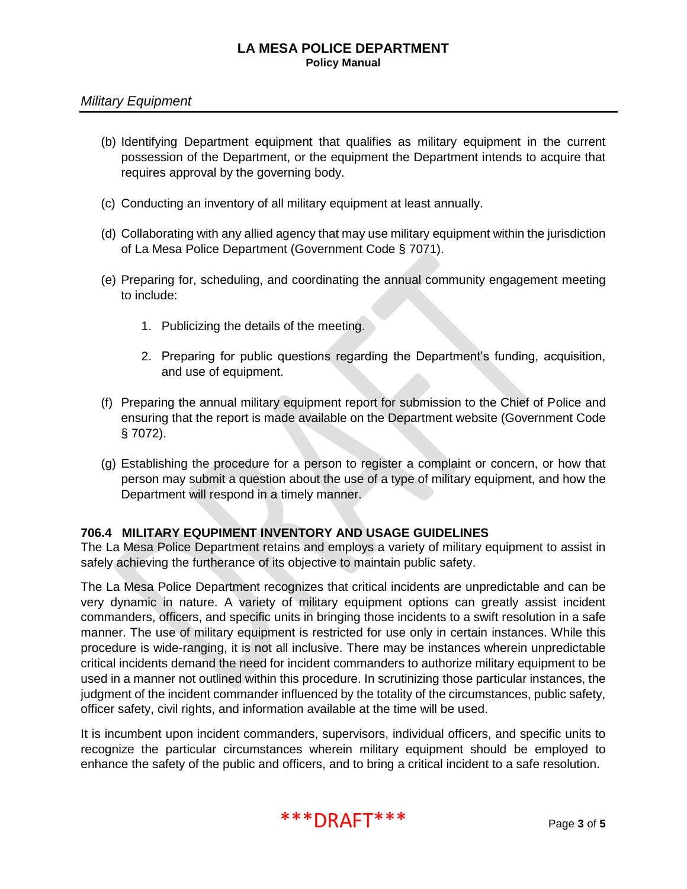## *Military Equipment*

- (b) Identifying Department equipment that qualifies as military equipment in the current possession of the Department, or the equipment the Department intends to acquire that requires approval by the governing body.
- (c) Conducting an inventory of all military equipment at least annually.
- (d) Collaborating with any allied agency that may use military equipment within the jurisdiction of La Mesa Police Department (Government Code § 7071).
- (e) Preparing for, scheduling, and coordinating the annual community engagement meeting to include:
	- 1. Publicizing the details of the meeting.
	- 2. Preparing for public questions regarding the Department's funding, acquisition, and use of equipment.
- (f) Preparing the annual military equipment report for submission to the Chief of Police and ensuring that the report is made available on the Department website (Government Code § 7072).
- (g) Establishing the procedure for a person to register a complaint or concern, or how that person may submit a question about the use of a type of military equipment, and how the Department will respond in a timely manner.

## **706.4 MILITARY EQUPIMENT INVENTORY AND USAGE GUIDELINES**

The La Mesa Police Department retains and employs a variety of military equipment to assist in safely achieving the furtherance of its objective to maintain public safety.

The La Mesa Police Department recognizes that critical incidents are unpredictable and can be very dynamic in nature. A variety of military equipment options can greatly assist incident commanders, officers, and specific units in bringing those incidents to a swift resolution in a safe manner. The use of military equipment is restricted for use only in certain instances. While this procedure is wide-ranging, it is not all inclusive. There may be instances wherein unpredictable critical incidents demand the need for incident commanders to authorize military equipment to be used in a manner not outlined within this procedure. In scrutinizing those particular instances, the judgment of the incident commander influenced by the totality of the circumstances, public safety, officer safety, civil rights, and information available at the time will be used.

It is incumbent upon incident commanders, supervisors, individual officers, and specific units to recognize the particular circumstances wherein military equipment should be employed to enhance the safety of the public and officers, and to bring a critical incident to a safe resolution.

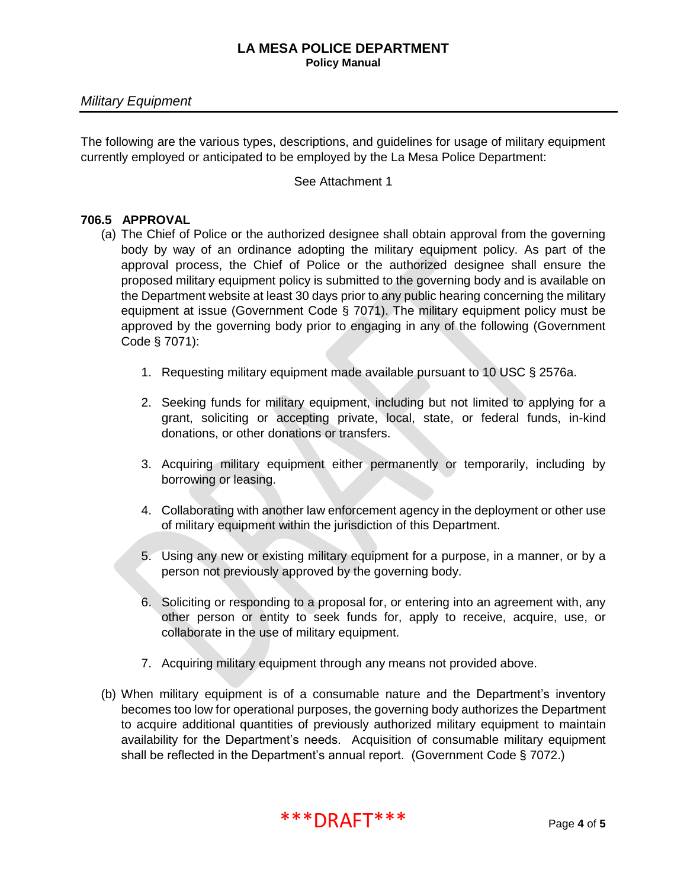The following are the various types, descriptions, and guidelines for usage of military equipment currently employed or anticipated to be employed by the La Mesa Police Department:

See Attachment 1

#### **706.5 APPROVAL**

- (a) The Chief of Police or the authorized designee shall obtain approval from the governing body by way of an ordinance adopting the military equipment policy. As part of the approval process, the Chief of Police or the authorized designee shall ensure the proposed military equipment policy is submitted to the governing body and is available on the Department website at least 30 days prior to any public hearing concerning the military equipment at issue (Government Code § 7071). The military equipment policy must be approved by the governing body prior to engaging in any of the following (Government Code § 7071):
	- 1. Requesting military equipment made available pursuant to 10 USC § 2576a.
	- 2. Seeking funds for military equipment, including but not limited to applying for a grant, soliciting or accepting private, local, state, or federal funds, in-kind donations, or other donations or transfers.
	- 3. Acquiring military equipment either permanently or temporarily, including by borrowing or leasing.
	- 4. Collaborating with another law enforcement agency in the deployment or other use of military equipment within the jurisdiction of this Department.
	- 5. Using any new or existing military equipment for a purpose, in a manner, or by a person not previously approved by the governing body.
	- 6. Soliciting or responding to a proposal for, or entering into an agreement with, any other person or entity to seek funds for, apply to receive, acquire, use, or collaborate in the use of military equipment.
	- 7. Acquiring military equipment through any means not provided above.
- (b) When military equipment is of a consumable nature and the Department's inventory becomes too low for operational purposes, the governing body authorizes the Department to acquire additional quantities of previously authorized military equipment to maintain availability for the Department's needs. Acquisition of consumable military equipment shall be reflected in the Department's annual report. (Government Code § 7072.)

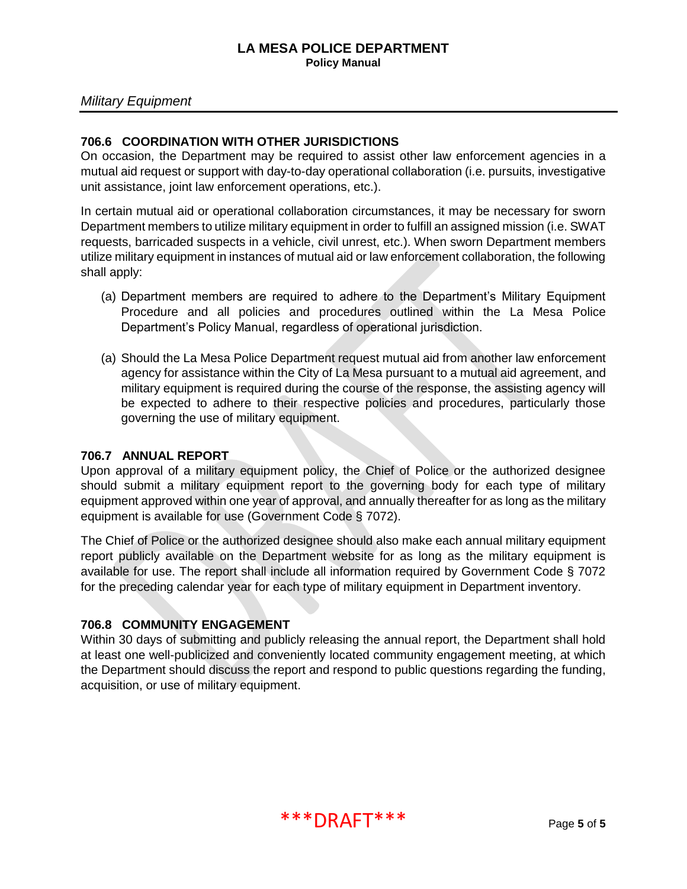## *Military Equipment*

## **706.6 COORDINATION WITH OTHER JURISDICTIONS**

On occasion, the Department may be required to assist other law enforcement agencies in a mutual aid request or support with day-to-day operational collaboration (i.e. pursuits, investigative unit assistance, joint law enforcement operations, etc.).

In certain mutual aid or operational collaboration circumstances, it may be necessary for sworn Department members to utilize military equipment in order to fulfill an assigned mission (i.e. SWAT requests, barricaded suspects in a vehicle, civil unrest, etc.). When sworn Department members utilize military equipment in instances of mutual aid or law enforcement collaboration, the following shall apply:

- (a) Department members are required to adhere to the Department's Military Equipment Procedure and all policies and procedures outlined within the La Mesa Police Department's Policy Manual, regardless of operational jurisdiction.
- (a) Should the La Mesa Police Department request mutual aid from another law enforcement agency for assistance within the City of La Mesa pursuant to a mutual aid agreement, and military equipment is required during the course of the response, the assisting agency will be expected to adhere to their respective policies and procedures, particularly those governing the use of military equipment.

#### **706.7 ANNUAL REPORT**

Upon approval of a military equipment policy, the Chief of Police or the authorized designee should submit a military equipment report to the governing body for each type of military equipment approved within one year of approval, and annually thereafter for as long as the military equipment is available for use (Government Code § 7072).

The Chief of Police or the authorized designee should also make each annual military equipment report publicly available on the Department website for as long as the military equipment is available for use. The report shall include all information required by Government Code § 7072 for the preceding calendar year for each type of military equipment in Department inventory.

## **706.8 COMMUNITY ENGAGEMENT**

Within 30 days of submitting and publicly releasing the annual report, the Department shall hold at least one well-publicized and conveniently located community engagement meeting, at which the Department should discuss the report and respond to public questions regarding the funding, acquisition, or use of military equipment.

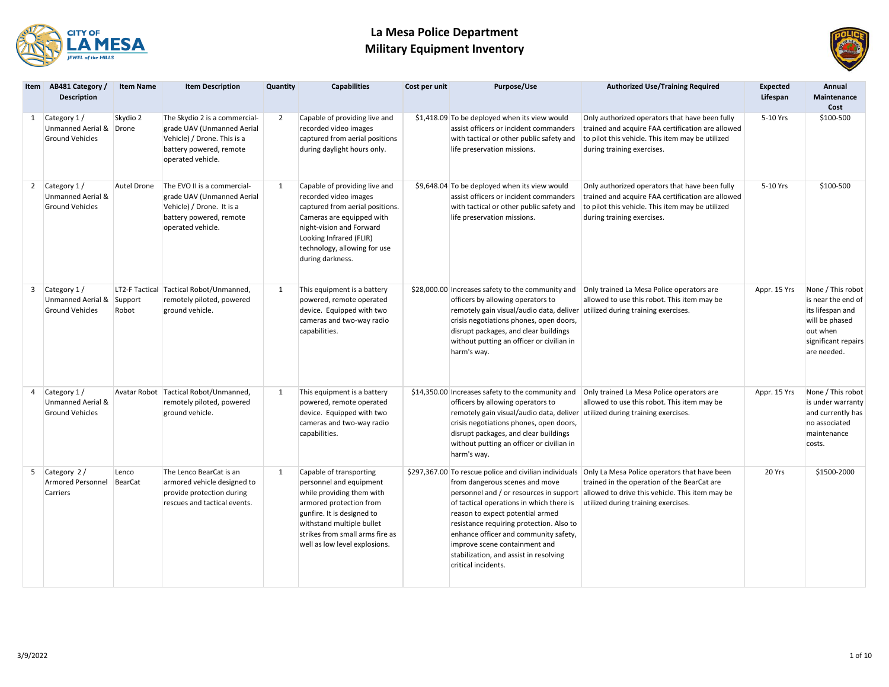



|   | Item AB481 Category /<br><b>Description</b>                             | <b>Item Name</b>        | <b>Item Description</b>                                                                                                                    | Quantity | <b>Capabilities</b>                                                                                                                                                                                                                       | Cost per unit | Purpose/Use                                                                                                                                                                                                                                                                                                            | <b>Authorized Use/Training Required</b>                                                                                                                                                                                                                                              | Expected<br>Lifespan | Annual<br>Maintenance<br>Cost                                                                                                   |
|---|-------------------------------------------------------------------------|-------------------------|--------------------------------------------------------------------------------------------------------------------------------------------|----------|-------------------------------------------------------------------------------------------------------------------------------------------------------------------------------------------------------------------------------------------|---------------|------------------------------------------------------------------------------------------------------------------------------------------------------------------------------------------------------------------------------------------------------------------------------------------------------------------------|--------------------------------------------------------------------------------------------------------------------------------------------------------------------------------------------------------------------------------------------------------------------------------------|----------------------|---------------------------------------------------------------------------------------------------------------------------------|
|   | 1 Category 1/<br>Unmanned Aerial & Drone<br><b>Ground Vehicles</b>      | Skydio 2                | The Skydio 2 is a commercial-<br>grade UAV (Unmanned Aerial<br>Vehicle) / Drone. This is a<br>battery powered, remote<br>operated vehicle. | 2        | Capable of providing live and<br>recorded video images<br>captured from aerial positions<br>during daylight hours only.                                                                                                                   |               | \$1,418.09 To be deployed when its view would<br>assist officers or incident commanders<br>with tactical or other public safety and<br>life preservation missions.                                                                                                                                                     | Only authorized operators that have been fully<br>trained and acquire FAA certification are allowed<br>to pilot this vehicle. This item may be utilized<br>during training exercises.                                                                                                | 5-10 Yrs             | \$100-500                                                                                                                       |
|   | 2 Category 1/<br><b>Unmanned Aerial &amp;</b><br><b>Ground Vehicles</b> | Autel Drone             | The EVO II is a commercial-<br>grade UAV (Unmanned Aerial<br>Vehicle) / Drone. It is a<br>battery powered, remote<br>operated vehicle.     | 1        | Capable of providing live and<br>recorded video images<br>captured from aerial positions.<br>Cameras are equipped with<br>night-vision and Forward<br>Looking Infrared (FLIR)<br>technology, allowing for use<br>during darkness.         |               | \$9,648.04 To be deployed when its view would<br>assist officers or incident commanders<br>with tactical or other public safety and<br>life preservation missions.                                                                                                                                                     | Only authorized operators that have been fully<br>trained and acquire FAA certification are allowed<br>to pilot this vehicle. This item may be utilized<br>during training exercises.                                                                                                | 5-10 Yrs             | \$100-500                                                                                                                       |
| 3 | Category 1/<br>Unmanned Aerial & Support<br><b>Ground Vehicles</b>      | LT2-F Tactical<br>Robot | Tactical Robot/Unmanned,<br>remotely piloted, powered<br>ground vehicle.                                                                   | 1        | This equipment is a battery<br>powered, remote operated<br>device. Equipped with two<br>cameras and two-way radio<br>capabilities.                                                                                                        |               | officers by allowing operators to<br>remotely gain visual/audio data, deliver utilized during training exercises.<br>crisis negotiations phones, open doors,<br>disrupt packages, and clear buildings<br>without putting an officer or civilian in<br>harm's way.                                                      | \$28,000.00 Increases safety to the community and   Only trained La Mesa Police operators are<br>allowed to use this robot. This item may be                                                                                                                                         | Appr. 15 Yrs         | None / This robot<br>is near the end of<br>its lifespan and<br>will be phased<br>out when<br>significant repairs<br>are needed. |
| 4 | Category 1/<br>Unmanned Aerial &<br><b>Ground Vehicles</b>              |                         | Avatar Robot   Tactical Robot/Unmanned,<br>remotely piloted, powered<br>ground vehicle.                                                    | 1        | This equipment is a battery<br>powered, remote operated<br>device. Equipped with two<br>cameras and two-way radio<br>capabilities.                                                                                                        |               | \$14,350.00 Increases safety to the community and<br>officers by allowing operators to<br>remotely gain visual/audio data, deliver utilized during training exercises.<br>crisis negotiations phones, open doors,<br>disrupt packages, and clear buildings<br>without putting an officer or civilian in<br>harm's way. | Only trained La Mesa Police operators are<br>allowed to use this robot. This item may be                                                                                                                                                                                             | Appr. 15 Yrs         | None / This robot<br>is under warranty<br>and currently has<br>no associated<br>maintenance<br>costs.                           |
|   | 5 Category 2 /<br><b>Armored Personnel</b><br>Carriers                  | Lenco<br>BearCat        | The Lenco BearCat is an<br>armored vehicle designed to<br>provide protection during<br>rescues and tactical events.                        | 1        | Capable of transporting<br>personnel and equipment<br>while providing them with<br>armored protection from<br>gunfire. It is designed to<br>withstand multiple bullet<br>strikes from small arms fire as<br>well as low level explosions. |               | from dangerous scenes and move<br>of tactical operations in which there is<br>reason to expect potential armed<br>resistance requiring protection. Also to<br>enhance officer and community safety,<br>improve scene containment and<br>stabilization, and assist in resolving<br>critical incidents.                  | \$297,367.00 To rescue police and civilian individuals Only La Mesa Police operators that have been<br>trained in the operation of the BearCat are<br>personnel and / or resources in support allowed to drive this vehicle. This item may be<br>utilized during training exercises. | 20 Yrs               | \$1500-2000                                                                                                                     |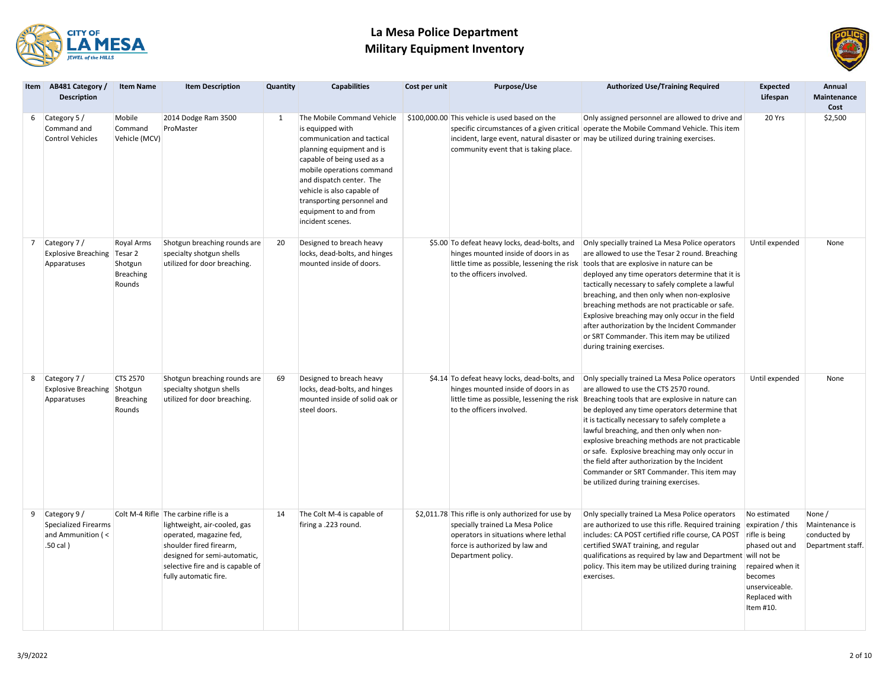



| Item AB481 Category /<br><b>Description</b>                                   | <b>Item Name</b>                                    | <b>Item Description</b>                                                                                                                                                                                                  | Quantity | <b>Capabilities</b>                                                                                                                                                                                                                                                                                       | Cost per unit | Purpose/Use                                                                                                                                                                             | <b>Authorized Use/Training Required</b>                                                                                                                                                                                                                                                                                                                                                                                                                                                                                                                                                 | <b>Expected</b><br>Lifespan                                                                                                                          | Annual<br>Maintenance<br>Cost                                 |
|-------------------------------------------------------------------------------|-----------------------------------------------------|--------------------------------------------------------------------------------------------------------------------------------------------------------------------------------------------------------------------------|----------|-----------------------------------------------------------------------------------------------------------------------------------------------------------------------------------------------------------------------------------------------------------------------------------------------------------|---------------|-----------------------------------------------------------------------------------------------------------------------------------------------------------------------------------------|-----------------------------------------------------------------------------------------------------------------------------------------------------------------------------------------------------------------------------------------------------------------------------------------------------------------------------------------------------------------------------------------------------------------------------------------------------------------------------------------------------------------------------------------------------------------------------------------|------------------------------------------------------------------------------------------------------------------------------------------------------|---------------------------------------------------------------|
| 6 Category 5 /<br>Command and<br><b>Control Vehicles</b>                      | Mobile<br>Command<br>Vehicle (MCV)                  | 2014 Dodge Ram 3500<br>ProMaster                                                                                                                                                                                         | 1        | The Mobile Command Vehicle<br>is equipped with<br>communication and tactical<br>planning equipment and is<br>capable of being used as a<br>mobile operations command<br>and dispatch center. The<br>vehicle is also capable of<br>transporting personnel and<br>equipment to and from<br>incident scenes. |               | \$100,000.00 This vehicle is used based on the<br>community event that is taking place.                                                                                                 | Only assigned personnel are allowed to drive and<br>specific circumstances of a given critical operate the Mobile Command Vehicle. This item<br>incident, large event, natural disaster or may be utilized during training exercises.                                                                                                                                                                                                                                                                                                                                                   | 20 Yrs                                                                                                                                               | \$2,500                                                       |
| 7 Category 7/<br>Explosive Breaching Tesar 2<br>Apparatuses                   | Royal Arms<br>Shotgun<br><b>Breaching</b><br>Rounds | Shotgun breaching rounds are<br>specialty shotgun shells<br>utilized for door breaching.                                                                                                                                 | 20       | Designed to breach heavy<br>locks, dead-bolts, and hinges<br>mounted inside of doors.                                                                                                                                                                                                                     |               | \$5.00 To defeat heavy locks, dead-bolts, and<br>hinges mounted inside of doors in as<br>to the officers involved.                                                                      | Only specially trained La Mesa Police operators<br>are allowed to use the Tesar 2 round. Breaching<br>little time as possible, lessening the risk   tools that are explosive in nature can be<br>deployed any time operators determine that it is<br>tactically necessary to safely complete a lawful<br>breaching, and then only when non-explosive<br>breaching methods are not practicable or safe.<br>Explosive breaching may only occur in the field<br>after authorization by the Incident Commander<br>or SRT Commander. This item may be utilized<br>during training exercises. | Until expended                                                                                                                                       | None                                                          |
| 8 Category 7/<br>Explosive Breaching Shotgun<br>Apparatuses                   | CTS 2570<br><b>Breaching</b><br>Rounds              | Shotgun breaching rounds are<br>specialty shotgun shells<br>utilized for door breaching.                                                                                                                                 | 69       | Designed to breach heavy<br>locks, dead-bolts, and hinges<br>mounted inside of solid oak or<br>steel doors.                                                                                                                                                                                               |               | \$4.14 To defeat heavy locks, dead-bolts, and<br>hinges mounted inside of doors in as<br>to the officers involved.                                                                      | Only specially trained La Mesa Police operators<br>are allowed to use the CTS 2570 round.<br>little time as possible, lessening the risk Breaching tools that are explosive in nature can<br>be deployed any time operators determine that<br>it is tactically necessary to safely complete a<br>lawful breaching, and then only when non-<br>explosive breaching methods are not practicable<br>or safe. Explosive breaching may only occur in<br>the field after authorization by the Incident<br>Commander or SRT Commander. This item may<br>be utilized during training exercises. | Until expended                                                                                                                                       | None                                                          |
| 9 Category 9/<br><b>Specialized Firearms</b><br>and Ammunition (<<br>.50 cal) |                                                     | Colt M-4 Rifle The carbine rifle is a<br>lightweight, air-cooled, gas<br>operated, magazine fed,<br>shoulder fired firearm,<br>designed for semi-automatic,<br>selective fire and is capable of<br>fully automatic fire. | 14       | The Colt M-4 is capable of<br>firing a .223 round.                                                                                                                                                                                                                                                        |               | \$2,011.78 This rifle is only authorized for use by<br>specially trained La Mesa Police<br>operators in situations where lethal<br>force is authorized by law and<br>Department policy. | Only specially trained La Mesa Police operators<br>are authorized to use this rifle. Required training<br>includes: CA POST certified rifle course, CA POST<br>certified SWAT training, and regular<br>qualifications as required by law and Department will not be<br>policy. This item may be utilized during training<br>exercises.                                                                                                                                                                                                                                                  | No estimated<br>expiration / this<br>rifle is being<br>phased out and<br>repaired when it<br>becomes<br>unserviceable.<br>Replaced with<br>Item #10. | None /<br>Maintenance is<br>conducted by<br>Department staff. |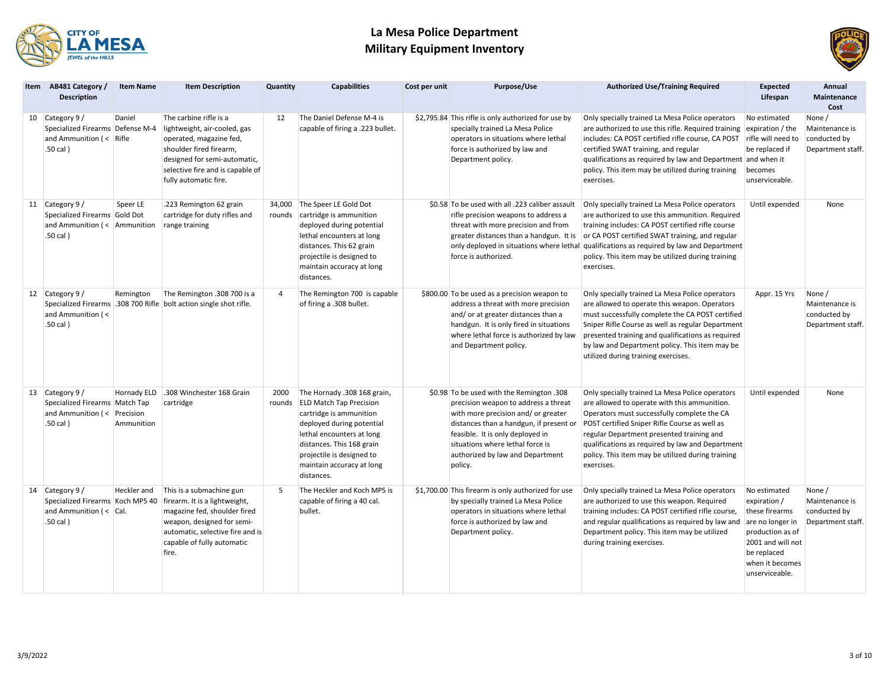



|  | Item AB481 Category /<br><b>Description</b>                                                                  | <b>Item Name</b>          | <b>Item Description</b>                                                                                                                                                                                   | Quantity         | <b>Capabilities</b>                                                                                                                                                                                                                                     | Cost per unit | Purpose/Use                                                                                                                                                                                                                                                                               | <b>Authorized Use/Training Required</b>                                                                                                                                                                                                                                                                                                                                    | <b>Expected</b><br>Lifespan                                                                                                                                     | Annual<br>Maintenance<br>Cost                                 |
|--|--------------------------------------------------------------------------------------------------------------|---------------------------|-----------------------------------------------------------------------------------------------------------------------------------------------------------------------------------------------------------|------------------|---------------------------------------------------------------------------------------------------------------------------------------------------------------------------------------------------------------------------------------------------------|---------------|-------------------------------------------------------------------------------------------------------------------------------------------------------------------------------------------------------------------------------------------------------------------------------------------|----------------------------------------------------------------------------------------------------------------------------------------------------------------------------------------------------------------------------------------------------------------------------------------------------------------------------------------------------------------------------|-----------------------------------------------------------------------------------------------------------------------------------------------------------------|---------------------------------------------------------------|
|  | 10 Category 9 /<br>Specialized Firearms Defense M-4<br>and Ammunition $\left( < \right)$ Rifle<br>.50 cal)   | Daniel                    | The carbine rifle is a<br>lightweight, air-cooled, gas<br>operated, magazine fed,<br>shoulder fired firearm,<br>designed for semi-automatic,<br>selective fire and is capable of<br>fully automatic fire. | 12               | The Daniel Defense M-4 is<br>capable of firing a .223 bullet.                                                                                                                                                                                           |               | \$2,795.84 This rifle is only authorized for use by<br>specially trained La Mesa Police<br>operators in situations where lethal<br>force is authorized by law and<br>Department policy.                                                                                                   | Only specially trained La Mesa Police operators<br>are authorized to use this rifle. Required training<br>includes: CA POST certified rifle course, CA POST<br>certified SWAT training, and regular<br>qualifications as required by law and Department and when it<br>policy. This item may be utilized during training<br>exercises.                                     | No estimated<br>expiration / the<br>rifle will need to<br>be replaced if<br>becomes<br>unserviceable.                                                           | None /<br>Maintenance is<br>conducted by<br>Department staff. |
|  | 11 Category 9 /<br>Specialized Firearms Gold Dot<br>and Ammunition $\left( < \right)$ Ammunition<br>.50 cal) | Speer LE                  | .223 Remington 62 grain<br>cartridge for duty rifles and<br>range training                                                                                                                                | 34,000<br>rounds | The Speer LE Gold Dot<br>cartridge is ammunition<br>deployed during potential<br>lethal encounters at long<br>distances. This 62 grain<br>projectile is designed to<br>maintain accuracy at long<br>distances.                                          |               | \$0.58 To be used with all .223 caliber assault<br>rifle precision weapons to address a<br>threat with more precision and from<br>greater distances than a handgun. It is<br>force is authorized.                                                                                         | Only specially trained La Mesa Police operators<br>are authorized to use this ammunition. Required<br>training includes: CA POST certified rifle course<br>or CA POST certified SWAT training, and regular<br>only deployed in situations where lethal qualifications as required by law and Department<br>policy. This item may be utilized during training<br>exercises. | Until expended                                                                                                                                                  | None                                                          |
|  | 12 Category 9 /<br>and Ammunition (<<br>.50 cal)                                                             | Remington                 | The Remington .308 700 is a<br>Specialized Firearms 308 700 Rifle bolt action single shot rifle.                                                                                                          | $\overline{4}$   | The Remington 700 is capable<br>of firing a .308 bullet.                                                                                                                                                                                                |               | \$800.00 To be used as a precision weapon to<br>address a threat with more precision<br>and/or at greater distances than a<br>handgun. It is only fired in situations<br>where lethal force is authorized by law<br>and Department policy.                                                | Only specially trained La Mesa Police operators<br>are allowed to operate this weapon. Operators<br>must successfully complete the CA POST certified<br>Sniper Rifle Course as well as regular Department<br>presented training and qualifications as required<br>by law and Department policy. This item may be<br>utilized during training exercises.                    | Appr. 15 Yrs                                                                                                                                                    | None /<br>Maintenance is<br>conducted by<br>Department staff. |
|  | 13 Category 9 /<br>Specialized Firearms   Match Tap<br>and Ammunition ( $\leq$ Precision<br>.50 cal)         | Hornady ELD<br>Ammunition | .308 Winchester 168 Grain<br>cartridge                                                                                                                                                                    | 2000<br>rounds   | The Hornady .308 168 grain,<br><b>ELD Match Tap Precision</b><br>cartridge is ammunition<br>deployed during potential<br>lethal encounters at long<br>distances. This 168 grain<br>projectile is designed to<br>maintain accuracy at long<br>distances. |               | \$0.98 To be used with the Remington .308<br>precision weapon to address a threat<br>with more precision and/or greater<br>distances than a handgun, if present or<br>feasible. It is only deployed in<br>situations where lethal force is<br>authorized by law and Department<br>policy. | Only specially trained La Mesa Police operators<br>are allowed to operate with this ammunition.<br>Operators must successfully complete the CA<br>POST certified Sniper Rifle Course as well as<br>regular Department presented training and<br>qualifications as required by law and Department<br>policy. This item may be utilized during training<br>exercises.        | Until expended                                                                                                                                                  | None                                                          |
|  | 14 Category 9 /<br>Specialized Firearms Koch MP5 40<br>and Ammunition $($ < $ $ Cal.<br>.50 cal)             | Heckler and               | This is a submachine gun<br>firearm. It is a lightweight,<br>magazine fed, shoulder fired<br>weapon, designed for semi-<br>automatic, selective fire and is<br>capable of fully automatic<br>fire.        | 5                | The Heckler and Koch MP5 is<br>capable of firing a 40 cal.<br>bullet.                                                                                                                                                                                   |               | \$1,700.00 This firearm is only authorized for use<br>by specially trained La Mesa Police<br>operators in situations where lethal<br>force is authorized by law and<br>Department policy.                                                                                                 | Only specially trained La Mesa Police operators<br>are authorized to use this weapon. Required<br>training includes: CA POST certified rifle course,<br>and regular qualifications as required by law and<br>Department policy. This item may be utilized<br>during training exercises.                                                                                    | No estimated<br>expiration /<br>these firearms<br>are no longer in<br>production as of<br>2001 and will not<br>be replaced<br>when it becomes<br>unserviceable. | None /<br>Maintenance is<br>conducted by<br>Department staff. |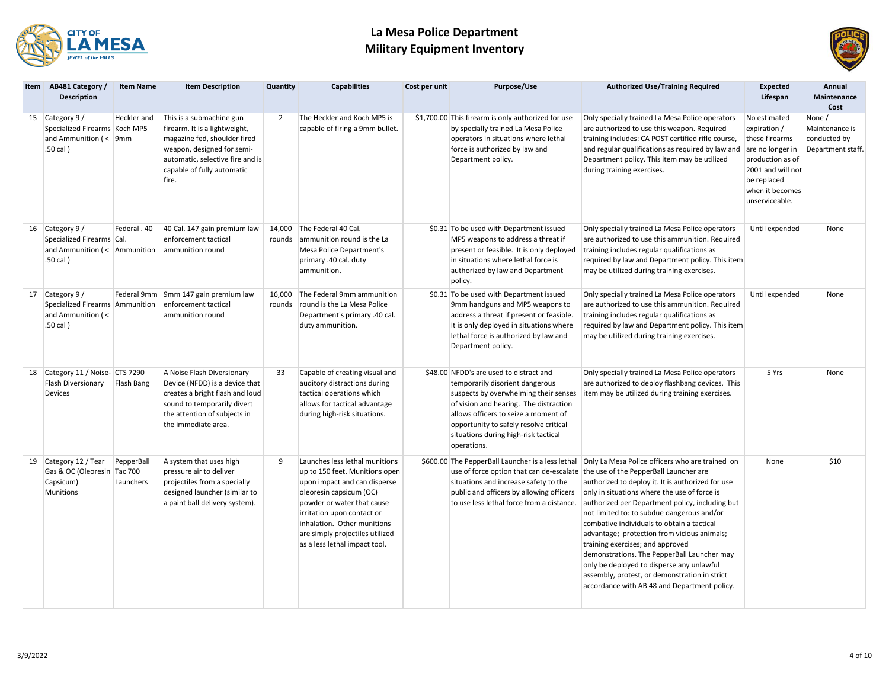



| Item AB481 Category /<br><b>Description</b>                                                   | <b>Item Name</b>        | <b>Item Description</b>                                                                                                                                                                            | Quantity         | <b>Capabilities</b>                                                                                                                                                                                                                                                                        | Cost per unit | Purpose/Use                                                                                                                                                                                                                                                                                            | <b>Authorized Use/Training Required</b>                                                                                                                                                                                                                                                                                                                                                                                                                                                                                                                                                                                                                                                                                  | <b>Expected</b><br>Lifespan                                                                                                                                     | Annual<br><b>Maintenance</b><br>Cost                          |
|-----------------------------------------------------------------------------------------------|-------------------------|----------------------------------------------------------------------------------------------------------------------------------------------------------------------------------------------------|------------------|--------------------------------------------------------------------------------------------------------------------------------------------------------------------------------------------------------------------------------------------------------------------------------------------|---------------|--------------------------------------------------------------------------------------------------------------------------------------------------------------------------------------------------------------------------------------------------------------------------------------------------------|--------------------------------------------------------------------------------------------------------------------------------------------------------------------------------------------------------------------------------------------------------------------------------------------------------------------------------------------------------------------------------------------------------------------------------------------------------------------------------------------------------------------------------------------------------------------------------------------------------------------------------------------------------------------------------------------------------------------------|-----------------------------------------------------------------------------------------------------------------------------------------------------------------|---------------------------------------------------------------|
| 15 Category 9 /<br>Specialized Firearms Koch MP5<br>and Ammunition ( $\leq$ 9mm<br>$.50$ cal) | Heckler and             | This is a submachine gun<br>firearm. It is a lightweight,<br>magazine fed, shoulder fired<br>weapon, designed for semi-<br>automatic, selective fire and is<br>capable of fully automatic<br>fire. | 2                | The Heckler and Koch MP5 is<br>capable of firing a 9mm bullet.                                                                                                                                                                                                                             |               | \$1,700.00 This firearm is only authorized for use<br>by specially trained La Mesa Police<br>operators in situations where lethal<br>force is authorized by law and<br>Department policy.                                                                                                              | Only specially trained La Mesa Police operators<br>are authorized to use this weapon. Required<br>training includes: CA POST certified rifle course,<br>and regular qualifications as required by law and<br>Department policy. This item may be utilized<br>during training exercises.                                                                                                                                                                                                                                                                                                                                                                                                                                  | No estimated<br>expiration /<br>these firearms<br>are no longer in<br>production as of<br>2001 and will not<br>be replaced<br>when it becomes<br>unserviceable. | None /<br>Maintenance is<br>conducted by<br>Department staff. |
| 16 Category 9 /<br>Specialized Firearms Cal.<br>and Ammunition ( $\lt$ Ammunition<br>.50 cal) | Federal . 40            | 40 Cal. 147 gain premium law<br>enforcement tactical<br>ammunition round                                                                                                                           | 14,000<br>rounds | The Federal 40 Cal.<br>ammunition round is the La<br>Mesa Police Department's<br>primary .40 cal. duty<br>ammunition.                                                                                                                                                                      |               | \$0.31 To be used with Department issued<br>MP5 weapons to address a threat if<br>present or feasible. It is only deployed<br>in situations where lethal force is<br>authorized by law and Department<br>policy.                                                                                       | Only specially trained La Mesa Police operators<br>are authorized to use this ammunition. Required<br>training includes regular qualifications as<br>required by law and Department policy. This item<br>may be utilized during training exercises.                                                                                                                                                                                                                                                                                                                                                                                                                                                                      | Until expended                                                                                                                                                  | None                                                          |
| 17 Category 9 /<br>Specialized Firearms Ammunition<br>and Ammunition (<<br>.50 cal)           |                         | Federal 9mm 9mm 147 gain premium law<br>enforcement tactical<br>ammunition round                                                                                                                   | 16,000<br>rounds | The Federal 9mm ammunition<br>round is the La Mesa Police<br>Department's primary .40 cal.<br>duty ammunition.                                                                                                                                                                             |               | \$0.31 To be used with Department issued<br>9mm handguns and MP5 weapons to<br>address a threat if present or feasible.<br>It is only deployed in situations where<br>lethal force is authorized by law and<br>Department policy.                                                                      | Only specially trained La Mesa Police operators<br>are authorized to use this ammunition. Required<br>training includes regular qualifications as<br>required by law and Department policy. This item<br>may be utilized during training exercises.                                                                                                                                                                                                                                                                                                                                                                                                                                                                      | Until expended                                                                                                                                                  | None                                                          |
| 18 Category 11 / Noise- CTS 7290<br>Flash Diversionary<br>Devices                             | Flash Bang              | A Noise Flash Diversionary<br>Device (NFDD) is a device that<br>creates a bright flash and loud<br>sound to temporarily divert<br>the attention of subjects in<br>the immediate area.              | 33               | Capable of creating visual and<br>auditory distractions during<br>tactical operations which<br>allows for tactical advantage<br>during high-risk situations.                                                                                                                               |               | \$48.00 NFDD's are used to distract and<br>temporarily disorient dangerous<br>suspects by overwhelming their senses<br>of vision and hearing. The distraction<br>allows officers to seize a moment of<br>opportunity to safely resolve critical<br>situations during high-risk tactical<br>operations. | Only specially trained La Mesa Police operators<br>are authorized to deploy flashbang devices. This<br>item may be utilized during training exercises.                                                                                                                                                                                                                                                                                                                                                                                                                                                                                                                                                                   | 5 Yrs                                                                                                                                                           | None                                                          |
| 19 Category 12 / Tear<br>Gas & OC (Oleoresin Tac 700<br>Capsicum)<br><b>Munitions</b>         | PepperBall<br>Launchers | A system that uses high<br>pressure air to deliver<br>projectiles from a specially<br>designed launcher (similar to<br>a paint ball delivery system).                                              | 9                | Launches less lethal munitions<br>up to 150 feet. Munitions open<br>upon impact and can disperse<br>oleoresin capsicum (OC)<br>powder or water that cause<br>irritation upon contact or<br>inhalation. Other munitions<br>are simply projectiles utilized<br>as a less lethal impact tool. |               | situations and increase safety to the<br>public and officers by allowing officers<br>to use less lethal force from a distance.                                                                                                                                                                         | \$600.00 The PepperBall Launcher is a less lethal Only La Mesa Police officers who are trained on<br>use of force option that can de-escalate the use of the PepperBall Launcher are<br>authorized to deploy it. It is authorized for use<br>only in situations where the use of force is<br>authorized per Department policy, including but<br>not limited to: to subdue dangerous and/or<br>combative individuals to obtain a tactical<br>advantage; protection from vicious animals;<br>training exercises; and approved<br>demonstrations. The PepperBall Launcher may<br>only be deployed to disperse any unlawful<br>assembly, protest, or demonstration in strict<br>accordance with AB 48 and Department policy. | None                                                                                                                                                            | \$10                                                          |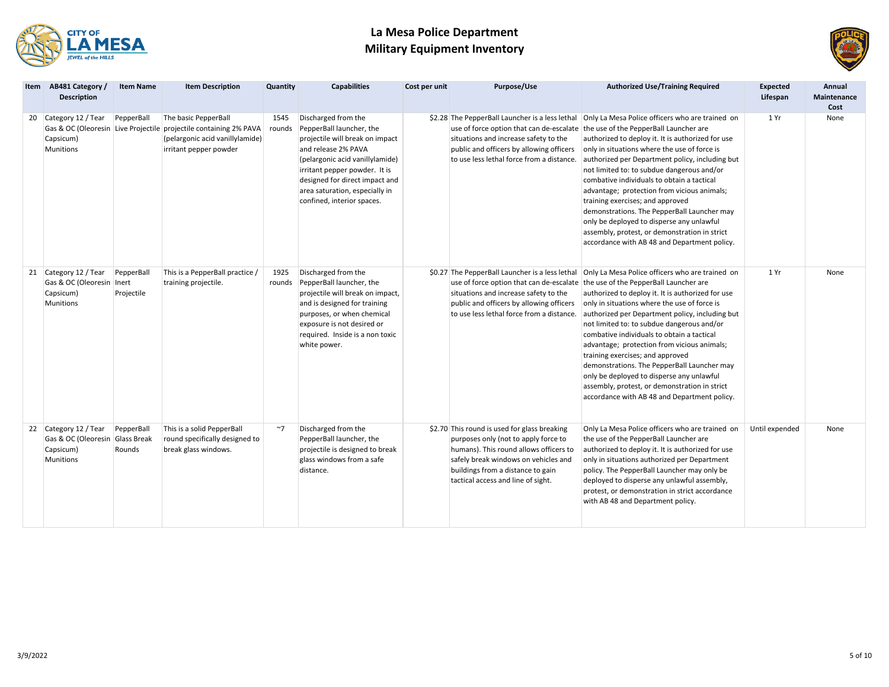



| Item AB481 Category /<br><b>Description</b>                                               | <b>Item Name</b>         | <b>Item Description</b>                                                                                                                                | Quantity       | <b>Capabilities</b>                                                                                                                                                                                                                                                             | Cost per unit | Purpose/Use                                                                                                                                                                                                                                       | <b>Authorized Use/Training Required</b>                                                                                                                                                                                                                                                                                                                                                                                                                                                                                                                                                                                             | <b>Expected</b><br>Lifespan | Annual<br>Maintenance<br>Cost |
|-------------------------------------------------------------------------------------------|--------------------------|--------------------------------------------------------------------------------------------------------------------------------------------------------|----------------|---------------------------------------------------------------------------------------------------------------------------------------------------------------------------------------------------------------------------------------------------------------------------------|---------------|---------------------------------------------------------------------------------------------------------------------------------------------------------------------------------------------------------------------------------------------------|-------------------------------------------------------------------------------------------------------------------------------------------------------------------------------------------------------------------------------------------------------------------------------------------------------------------------------------------------------------------------------------------------------------------------------------------------------------------------------------------------------------------------------------------------------------------------------------------------------------------------------------|-----------------------------|-------------------------------|
| 20 Category 12 / Tear<br>Capsicum)<br>Munitions                                           | PepperBall               | The basic PepperBall<br>Gas & OC (Oleoresin Live Projectile projectile containing 2% PAVA<br>(pelargonic acid vanillylamide)<br>irritant pepper powder | 1545<br>rounds | Discharged from the<br>PepperBall launcher, the<br>projectile will break on impact<br>and release 2% PAVA<br>(pelargonic acid vanillylamide)<br>irritant pepper powder. It is<br>designed for direct impact and<br>area saturation, especially in<br>confined, interior spaces. |               | use of force option that can de-escalate the use of the PepperBall Launcher are<br>situations and increase safety to the<br>public and officers by allowing officers<br>to use less lethal force from a distance.                                 | \$2.28 The PepperBall Launcher is a less lethal Only La Mesa Police officers who are trained on<br>authorized to deploy it. It is authorized for use<br>only in situations where the use of force is<br>authorized per Department policy, including but<br>not limited to: to subdue dangerous and/or<br>combative individuals to obtain a tactical<br>advantage; protection from vicious animals;<br>training exercises; and approved<br>demonstrations. The PepperBall Launcher may<br>only be deployed to disperse any unlawful<br>assembly, protest, or demonstration in strict<br>accordance with AB 48 and Department policy. | 1 Yr                        | None                          |
| 21 Category 12 / Tear<br>Gas & OC (Oleoresin   Inert<br>Capsicum)<br>Munitions            | PepperBall<br>Projectile | This is a PepperBall practice /<br>training projectile.                                                                                                | 1925<br>rounds | Discharged from the<br>PepperBall launcher, the<br>projectile will break on impact,<br>and is designed for training<br>purposes, or when chemical<br>exposure is not desired or<br>required. Inside is a non toxic<br>white power.                                              |               | use of force option that can de-escalate the use of the PepperBall Launcher are<br>situations and increase safety to the<br>public and officers by allowing officers<br>to use less lethal force from a distance.                                 | \$0.27 The PepperBall Launcher is a less lethal Only La Mesa Police officers who are trained on<br>authorized to deploy it. It is authorized for use<br>only in situations where the use of force is<br>authorized per Department policy, including but<br>not limited to: to subdue dangerous and/or<br>combative individuals to obtain a tactical<br>advantage; protection from vicious animals;<br>training exercises; and approved<br>demonstrations. The PepperBall Launcher may<br>only be deployed to disperse any unlawful<br>assembly, protest, or demonstration in strict<br>accordance with AB 48 and Department policy. | 1 Yr                        | None                          |
| 22 Category 12 / Tear<br>Gas & OC (Oleoresin Glass Break<br>Capsicum)<br><b>Munitions</b> | PepperBall<br>Rounds     | This is a solid PepperBall<br>round specifically designed to<br>break glass windows.                                                                   | $~\sim$ 7      | Discharged from the<br>PepperBall launcher, the<br>projectile is designed to break<br>glass windows from a safe<br>distance.                                                                                                                                                    |               | \$2.70 This round is used for glass breaking<br>purposes only (not to apply force to<br>humans). This round allows officers to<br>safely break windows on vehicles and<br>buildings from a distance to gain<br>tactical access and line of sight. | Only La Mesa Police officers who are trained on<br>the use of the PepperBall Launcher are<br>authorized to deploy it. It is authorized for use<br>only in situations authorized per Department<br>policy. The PepperBall Launcher may only be<br>deployed to disperse any unlawful assembly,<br>protest, or demonstration in strict accordance<br>with AB 48 and Department policy.                                                                                                                                                                                                                                                 | Until expended              | None                          |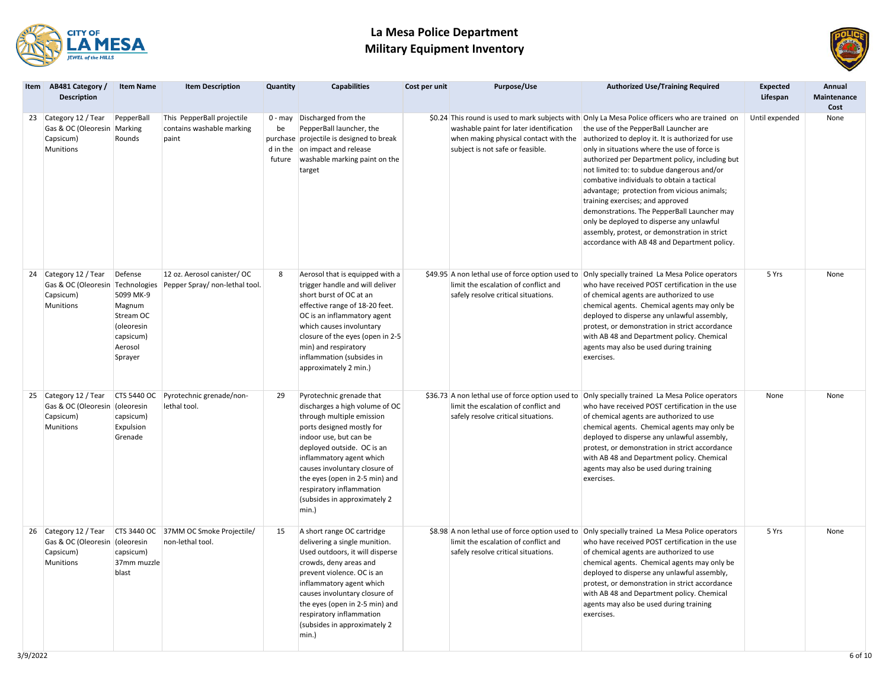



|  | Item AB481 Category /<br><b>Description</b>                                           | <b>Item Name</b>                                                                             | <b>Item Description</b>                                          | Quantity     | <b>Capabilities</b>                                                                                                                                                                                                                                                                                                                              | Cost per unit | <b>Purpose/Use</b>                                                                                                   | <b>Authorized Use/Training Required</b>                                                                                                                                                                                                                                                                                                                                                                                                                                                                                                                                                                                                                                       | <b>Expected</b><br>Lifespan | Annual<br>Maintenance<br>Cost |
|--|---------------------------------------------------------------------------------------|----------------------------------------------------------------------------------------------|------------------------------------------------------------------|--------------|--------------------------------------------------------------------------------------------------------------------------------------------------------------------------------------------------------------------------------------------------------------------------------------------------------------------------------------------------|---------------|----------------------------------------------------------------------------------------------------------------------|-------------------------------------------------------------------------------------------------------------------------------------------------------------------------------------------------------------------------------------------------------------------------------------------------------------------------------------------------------------------------------------------------------------------------------------------------------------------------------------------------------------------------------------------------------------------------------------------------------------------------------------------------------------------------------|-----------------------------|-------------------------------|
|  | 23 Category 12 / Tear<br>Gas & OC (Oleoresin Marking<br>Capsicum)<br><b>Munitions</b> | PepperBall<br>Rounds                                                                         | This PepperBall projectile<br>contains washable marking<br>paint | be<br>future | 0 - may Discharged from the<br>PepperBall launcher, the<br>purchase projectile is designed to break<br>d in the on impact and release<br>washable marking paint on the<br>target                                                                                                                                                                 |               | washable paint for later identification<br>when making physical contact with the<br>subject is not safe or feasible. | \$0.24 This round is used to mark subjects with Only La Mesa Police officers who are trained on<br>the use of the PepperBall Launcher are<br>authorized to deploy it. It is authorized for use<br>only in situations where the use of force is<br>authorized per Department policy, including but<br>not limited to: to subdue dangerous and/or<br>combative individuals to obtain a tactical<br>advantage; protection from vicious animals;<br>training exercises; and approved<br>demonstrations. The PepperBall Launcher may<br>only be deployed to disperse any unlawful<br>assembly, protest, or demonstration in strict<br>accordance with AB 48 and Department policy. | Until expended              | None                          |
|  | 24 Category 12 / Tear<br>Gas & OC (Oleoresin Technologies<br>Capsicum)<br>Munitions   | Defense<br>5099 MK-9<br>Magnum<br>Stream OC<br>(oleoresin<br>capsicum)<br>Aerosol<br>Sprayer | 12 oz. Aerosol canister/ OC<br>Pepper Spray/ non-lethal tool.    | 8            | Aerosol that is equipped with a<br>trigger handle and will deliver<br>short burst of OC at an<br>effective range of 18-20 feet.<br>OC is an inflammatory agent<br>which causes involuntary<br>closure of the eyes (open in 2-5<br>min) and respiratory<br>inflammation (subsides in<br>approximately 2 min.)                                     |               | limit the escalation of conflict and<br>safely resolve critical situations.                                          | \$49.95 A non lethal use of force option used to Only specially trained La Mesa Police operators<br>who have received POST certification in the use<br>of chemical agents are authorized to use<br>chemical agents. Chemical agents may only be<br>deployed to disperse any unlawful assembly,<br>protest, or demonstration in strict accordance<br>with AB 48 and Department policy. Chemical<br>agents may also be used during training<br>exercises.                                                                                                                                                                                                                       | 5 Yrs                       | None                          |
|  | 25 Category 12 / Tear<br>Gas & OC (Oleoresin<br>Capsicum)<br><b>Munitions</b>         | (oleoresin<br>capsicum)<br>Expulsion<br>Grenade                                              | CTS 5440 OC Pyrotechnic grenade/non-<br>lethal tool.             | 29           | Pyrotechnic grenade that<br>discharges a high volume of OC<br>through multiple emission<br>ports designed mostly for<br>indoor use, but can be<br>deployed outside. OC is an<br>inflammatory agent which<br>causes involuntary closure of<br>the eyes (open in 2-5 min) and<br>respiratory inflammation<br>(subsides in approximately 2<br>min.) |               | limit the escalation of conflict and<br>safely resolve critical situations.                                          | \$36.73 A non lethal use of force option used to Only specially trained La Mesa Police operators<br>who have received POST certification in the use<br>of chemical agents are authorized to use<br>chemical agents. Chemical agents may only be<br>deployed to disperse any unlawful assembly,<br>protest, or demonstration in strict accordance<br>with AB 48 and Department policy. Chemical<br>agents may also be used during training<br>exercises.                                                                                                                                                                                                                       | None                        | None                          |
|  | 26 Category 12 / Tear<br>Gas & OC (Oleoresin (oleoresin<br>Capsicum)<br>Munitions     | capsicum)<br>37mm muzzle<br>blast                                                            | CTS 3440 OC 37MM OC Smoke Projectile/<br>non-lethal tool.        | 15           | A short range OC cartridge<br>delivering a single munition.<br>Used outdoors, it will disperse<br>crowds, deny areas and<br>prevent violence. OC is an<br>inflammatory agent which<br>causes involuntary closure of<br>the eyes (open in 2-5 min) and<br>respiratory inflammation<br>(subsides in approximately 2<br>min.)                       |               | limit the escalation of conflict and<br>safely resolve critical situations.                                          | \$8.98 A non lethal use of force option used to Only specially trained La Mesa Police operators<br>who have received POST certification in the use<br>of chemical agents are authorized to use<br>chemical agents. Chemical agents may only be<br>deployed to disperse any unlawful assembly,<br>protest, or demonstration in strict accordance<br>with AB 48 and Department policy. Chemical<br>agents may also be used during training<br>exercises.                                                                                                                                                                                                                        | 5 Yrs                       | None                          |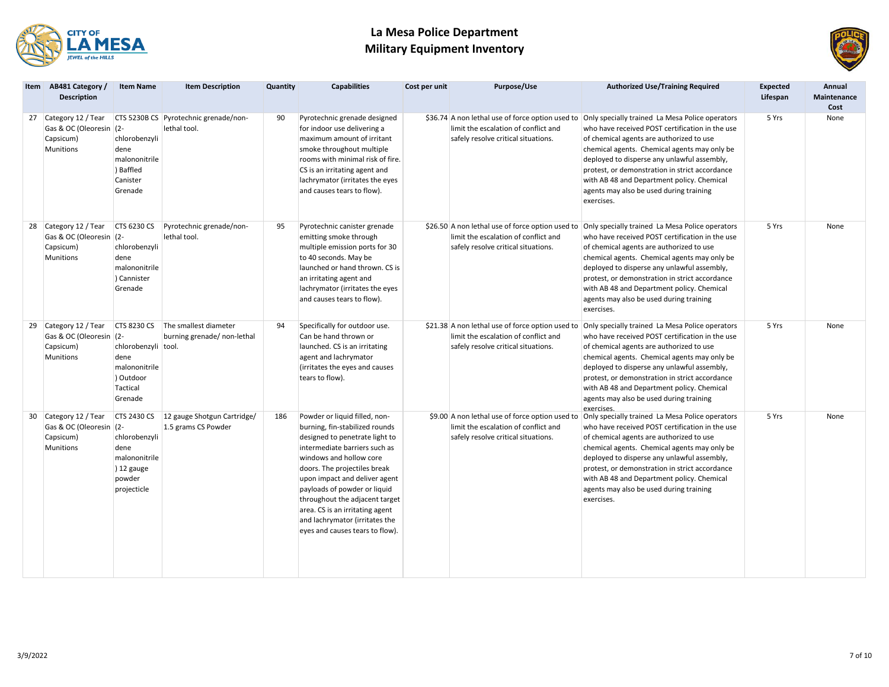



| Item AB481 Category /<br><b>Description</b>                                       | <b>Item Name</b>                                                                                              | <b>Item Description</b>                               | Quantity | <b>Capabilities</b>                                                                                                                                                                                                                                                                                                                                                                                      | Cost per unit | Purpose/Use                                                                                                                     | <b>Authorized Use/Training Required</b>                                                                                                                                                                                                                                                                                                                                                                                                                 | <b>Expected</b><br>Lifespan | Annual<br><b>Maintenance</b><br>Cost |
|-----------------------------------------------------------------------------------|---------------------------------------------------------------------------------------------------------------|-------------------------------------------------------|----------|----------------------------------------------------------------------------------------------------------------------------------------------------------------------------------------------------------------------------------------------------------------------------------------------------------------------------------------------------------------------------------------------------------|---------------|---------------------------------------------------------------------------------------------------------------------------------|---------------------------------------------------------------------------------------------------------------------------------------------------------------------------------------------------------------------------------------------------------------------------------------------------------------------------------------------------------------------------------------------------------------------------------------------------------|-----------------------------|--------------------------------------|
| 27 Category 12 / Tear<br>Gas & OC (Oleoresin (2-<br>Capsicum)<br><b>Munitions</b> | chlorobenzyli<br>dene<br>malononitrile<br>) Baffled<br>Canister<br>Grenade                                    | CTS 5230B CS Pyrotechnic grenade/non-<br>lethal tool. | 90       | Pyrotechnic grenade designed<br>for indoor use delivering a<br>maximum amount of irritant<br>smoke throughout multiple<br>rooms with minimal risk of fire.<br>CS is an irritating agent and<br>lachrymator (irritates the eyes<br>and causes tears to flow).                                                                                                                                             |               | limit the escalation of conflict and<br>safely resolve critical situations.                                                     | \$36.74 A non lethal use of force option used to Only specially trained La Mesa Police operators<br>who have received POST certification in the use<br>of chemical agents are authorized to use<br>chemical agents. Chemical agents may only be<br>deployed to disperse any unlawful assembly,<br>protest, or demonstration in strict accordance<br>with AB 48 and Department policy. Chemical<br>agents may also be used during training<br>exercises. | 5 Yrs                       | None                                 |
| 28 Category 12 / Tear<br>Gas & OC (Oleoresin (2-<br>Capsicum)<br><b>Munitions</b> | <b>CTS 6230 CS</b><br>chlorobenzyli<br>dene<br>malononitrile<br>) Cannister<br>Grenade                        | Pyrotechnic grenade/non-<br>lethal tool.              | 95       | Pyrotechnic canister grenade<br>emitting smoke through<br>multiple emission ports for 30<br>to 40 seconds. May be<br>launched or hand thrown. CS is<br>an irritating agent and<br>lachrymator (irritates the eyes<br>and causes tears to flow).                                                                                                                                                          |               | limit the escalation of conflict and<br>safely resolve critical situations.                                                     | \$26.50 A non lethal use of force option used to Only specially trained La Mesa Police operators<br>who have received POST certification in the use<br>of chemical agents are authorized to use<br>chemical agents. Chemical agents may only be<br>deployed to disperse any unlawful assembly,<br>protest, or demonstration in strict accordance<br>with AB 48 and Department policy. Chemical<br>agents may also be used during training<br>exercises. | 5 Yrs                       | None                                 |
| 29 Category 12 / Tear<br>Gas & OC (Oleoresin (2-<br>Capsicum)<br><b>Munitions</b> | <b>CTS 8230 CS</b><br>chlorobenzyli tool.<br>dene<br>malononitrile<br>) Outdoor<br><b>Tactical</b><br>Grenade | The smallest diameter<br>burning grenade/ non-lethal  | 94       | Specifically for outdoor use.<br>Can be hand thrown or<br>launched. CS is an irritating<br>agent and lachrymator<br>(irritates the eyes and causes<br>tears to flow).                                                                                                                                                                                                                                    |               | \$21.38 A non lethal use of force option used to<br>limit the escalation of conflict and<br>safely resolve critical situations. | Only specially trained La Mesa Police operators<br>who have received POST certification in the use<br>of chemical agents are authorized to use<br>chemical agents. Chemical agents may only be<br>deployed to disperse any unlawful assembly,<br>protest, or demonstration in strict accordance<br>with AB 48 and Department policy. Chemical<br>agents may also be used during training<br>PXPrrisps                                                   | 5 Yrs                       | None                                 |
| 30 Category 12 / Tear<br>Gas & OC (Oleoresin (2-<br>Capsicum)<br><b>Munitions</b> | <b>CTS 2430 CS</b><br>chlorobenzyli<br>dene<br>malononitrile<br>12 gauge<br>powder<br>projecticle             | 12 gauge Shotgun Cartridge/<br>1.5 grams CS Powder    | 186      | Powder or liquid filled, non-<br>burning, fin-stabilized rounds<br>designed to penetrate light to<br>intermediate barriers such as<br>windows and hollow core<br>doors. The projectiles break<br>upon impact and deliver agent<br>payloads of powder or liquid<br>throughout the adjacent target<br>area. CS is an irritating agent<br>and lachrymator (irritates the<br>eyes and causes tears to flow). |               | \$9.00 A non lethal use of force option used to<br>limit the escalation of conflict and<br>safely resolve critical situations.  | Only specially trained La Mesa Police operators<br>who have received POST certification in the use<br>of chemical agents are authorized to use<br>chemical agents. Chemical agents may only be<br>deployed to disperse any unlawful assembly,<br>protest, or demonstration in strict accordance<br>with AB 48 and Department policy. Chemical<br>agents may also be used during training<br>exercises.                                                  | 5 Yrs                       | None                                 |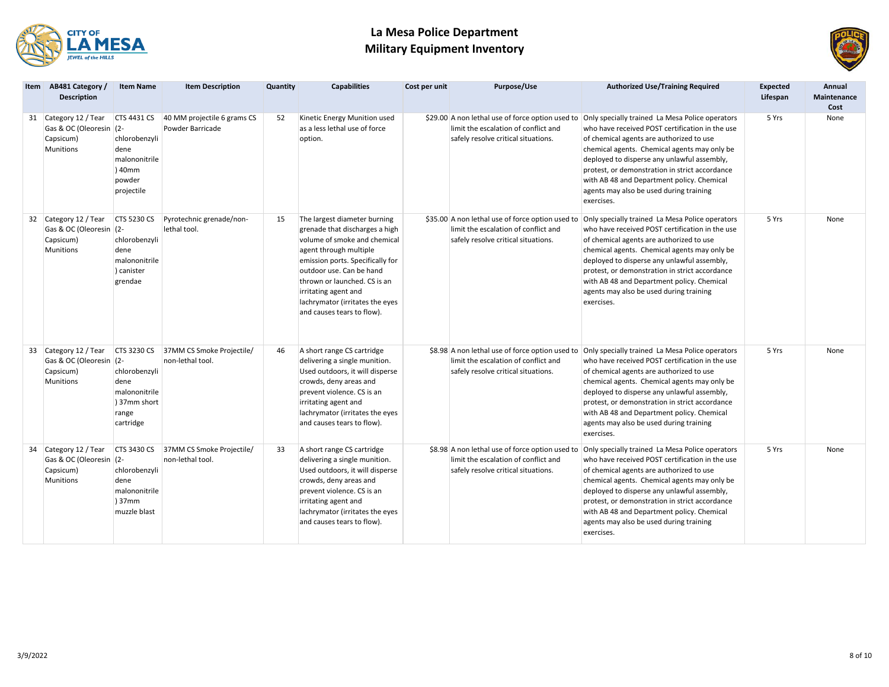



| Item AB481 Category /<br><b>Description</b>                                       | <b>Item Name</b>                                                                               | <b>Item Description</b>                                   | Quantity | <b>Capabilities</b>                                                                                                                                                                                                                                                                                               | Cost per unit | Purpose/Use                                                                                                                     | <b>Authorized Use/Training Required</b>                                                                                                                                                                                                                                                                                                                                                                                                                 | <b>Expected</b><br>Lifespan | Annual<br><b>Maintenance</b><br>Cost |
|-----------------------------------------------------------------------------------|------------------------------------------------------------------------------------------------|-----------------------------------------------------------|----------|-------------------------------------------------------------------------------------------------------------------------------------------------------------------------------------------------------------------------------------------------------------------------------------------------------------------|---------------|---------------------------------------------------------------------------------------------------------------------------------|---------------------------------------------------------------------------------------------------------------------------------------------------------------------------------------------------------------------------------------------------------------------------------------------------------------------------------------------------------------------------------------------------------------------------------------------------------|-----------------------------|--------------------------------------|
| 31 Category 12 / Tear<br>Gas & OC (Oleoresin (2-<br>Capsicum)<br><b>Munitions</b> | <b>CTS 4431 CS</b><br>chlorobenzyli<br>dene<br>malononitrile<br>) 40mm<br>powder<br>projectile | 40 MM projectile 6 grams CS<br>Powder Barricade           | 52       | Kinetic Energy Munition used<br>as a less lethal use of force<br>option.                                                                                                                                                                                                                                          |               | limit the escalation of conflict and<br>safely resolve critical situations.                                                     | \$29.00 A non lethal use of force option used to Only specially trained La Mesa Police operators<br>who have received POST certification in the use<br>of chemical agents are authorized to use<br>chemical agents. Chemical agents may only be<br>deployed to disperse any unlawful assembly,<br>protest, or demonstration in strict accordance<br>with AB 48 and Department policy. Chemical<br>agents may also be used during training<br>exercises. | 5 Yrs                       | None                                 |
| 32 Category 12 / Tear<br>Gas & OC (Oleoresin (2-<br>Capsicum)<br><b>Munitions</b> | <b>CTS 5230 CS</b><br>chlorobenzyli<br>dene<br>malononitrile<br>) canister<br>grendae          | Pyrotechnic grenade/non-<br>lethal tool.                  | 15       | The largest diameter burning<br>grenade that discharges a high<br>volume of smoke and chemical<br>agent through multiple<br>emission ports. Specifically for<br>outdoor use. Can be hand<br>thrown or launched. CS is an<br>irritating agent and<br>lachrymator (irritates the eyes<br>and causes tears to flow). |               | \$35.00 A non lethal use of force option used to<br>limit the escalation of conflict and<br>safely resolve critical situations. | Only specially trained La Mesa Police operators<br>who have received POST certification in the use<br>of chemical agents are authorized to use<br>chemical agents. Chemical agents may only be<br>deployed to disperse any unlawful assembly,<br>protest, or demonstration in strict accordance<br>with AB 48 and Department policy. Chemical<br>agents may also be used during training<br>exercises.                                                  | 5 Yrs                       | None                                 |
| 33 Category 12 / Tear<br>Gas & OC (Oleoresin (2-<br>Capsicum)<br><b>Munitions</b> | chlorobenzyli<br>dene<br>malononitrile<br>37mm short<br>range<br>cartridge                     | CTS 3230 CS 37MM CS Smoke Projectile/<br>non-lethal tool. | 46       | A short range CS cartridge<br>delivering a single munition.<br>Used outdoors, it will disperse<br>crowds, deny areas and<br>prevent violence. CS is an<br>irritating agent and<br>lachrymator (irritates the eyes<br>and causes tears to flow).                                                                   |               | limit the escalation of conflict and<br>safely resolve critical situations.                                                     | \$8.98 A non lethal use of force option used to Only specially trained La Mesa Police operators<br>who have received POST certification in the use<br>of chemical agents are authorized to use<br>chemical agents. Chemical agents may only be<br>deployed to disperse any unlawful assembly,<br>protest, or demonstration in strict accordance<br>with AB 48 and Department policy. Chemical<br>agents may also be used during training<br>exercises.  | 5 Yrs                       | None                                 |
| 34 Category 12 / Tear<br>Gas & OC (Oleoresin (2-<br>Capsicum)<br><b>Munitions</b> | chlorobenzyli<br>dene<br>malononitrile<br>37mm<br>muzzle blast                                 | CTS 3430 CS 37MM CS Smoke Projectile/<br>non-lethal tool. | 33       | A short range CS cartridge<br>delivering a single munition.<br>Used outdoors, it will disperse<br>crowds, deny areas and<br>prevent violence. CS is an<br>irritating agent and<br>lachrymator (irritates the eyes<br>and causes tears to flow).                                                                   |               | \$8.98 A non lethal use of force option used to<br>limit the escalation of conflict and<br>safely resolve critical situations.  | Only specially trained La Mesa Police operators<br>who have received POST certification in the use<br>of chemical agents are authorized to use<br>chemical agents. Chemical agents may only be<br>deployed to disperse any unlawful assembly,<br>protest, or demonstration in strict accordance<br>with AB 48 and Department policy. Chemical<br>agents may also be used during training<br>exercises.                                                  | 5 Yrs                       | None                                 |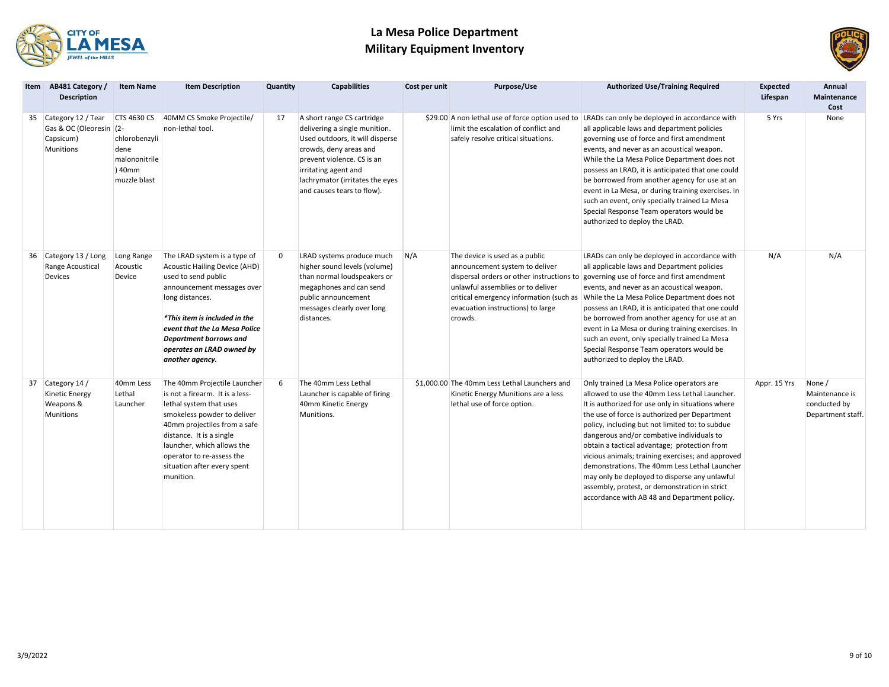



| <b>Item</b> | AB481 Category /<br><b>Description</b>                                            | <b>Item Name</b>                                                                       | <b>Item Description</b>                                                                                                                                                                                                                                                                      | Quantity | <b>Capabilities</b>                                                                                                                                                                                                                             | Cost per unit | Purpose/Use                                                                                                                                                                                                                                   | <b>Authorized Use/Training Required</b>                                                                                                                                                                                                                                                                                                                                                                                                                                                                                                                                                                  | <b>Expected</b><br>Lifespan | Annual<br>Maintenance<br>Cost                                 |
|-------------|-----------------------------------------------------------------------------------|----------------------------------------------------------------------------------------|----------------------------------------------------------------------------------------------------------------------------------------------------------------------------------------------------------------------------------------------------------------------------------------------|----------|-------------------------------------------------------------------------------------------------------------------------------------------------------------------------------------------------------------------------------------------------|---------------|-----------------------------------------------------------------------------------------------------------------------------------------------------------------------------------------------------------------------------------------------|----------------------------------------------------------------------------------------------------------------------------------------------------------------------------------------------------------------------------------------------------------------------------------------------------------------------------------------------------------------------------------------------------------------------------------------------------------------------------------------------------------------------------------------------------------------------------------------------------------|-----------------------------|---------------------------------------------------------------|
|             | 35 Category 12 / Tear<br>Gas & OC (Oleoresin (2-<br>Capsicum)<br><b>Munitions</b> | <b>CTS 4630 CS</b><br>chlorobenzyli<br>dene<br>malononitrile<br>) 40mm<br>muzzle blast | 40MM CS Smoke Projectile/<br>non-lethal tool.                                                                                                                                                                                                                                                | 17       | A short range CS cartridge<br>delivering a single munition.<br>Used outdoors, it will disperse<br>crowds, deny areas and<br>prevent violence. CS is an<br>irritating agent and<br>lachrymator (irritates the eyes<br>and causes tears to flow). |               | \$29.00 A non lethal use of force option used to<br>limit the escalation of conflict and<br>safely resolve critical situations.                                                                                                               | LRADs can only be deployed in accordance with<br>all applicable laws and department policies<br>governing use of force and first amendment<br>events, and never as an acoustical weapon.<br>While the La Mesa Police Department does not<br>possess an LRAD, it is anticipated that one could<br>be borrowed from another agency for use at an<br>event in La Mesa, or during training exercises. In<br>such an event, only specially trained La Mesa<br>Special Response Team operators would be<br>authorized to deploy the LRAD.                                                                      | 5 Yrs                       | None                                                          |
|             | 36 Category 13 / Long<br>Range Acoustical<br>Devices                              | Long Range<br>Acoustic<br>Device                                                       | The LRAD system is a type of<br>Acoustic Hailing Device (AHD)<br>used to send public<br>announcement messages over<br>long distances.<br>*This item is included in the<br>event that the La Mesa Police<br>Department borrows and<br>operates an LRAD owned by<br>another agency.            | 0        | LRAD systems produce much<br>higher sound levels (volume)<br>than normal loudspeakers or<br>megaphones and can send<br>public announcement<br>messages clearly over long<br>distances.                                                          | N/A           | The device is used as a public<br>announcement system to deliver<br>dispersal orders or other instructions to<br>unlawful assemblies or to deliver<br>critical emergency information (such as<br>evacuation instructions) to large<br>crowds. | LRADs can only be deployed in accordance with<br>all applicable laws and Department policies<br>governing use of force and first amendment<br>events, and never as an acoustical weapon.<br>While the La Mesa Police Department does not<br>possess an LRAD, it is anticipated that one could<br>be borrowed from another agency for use at an<br>event in La Mesa or during training exercises. In<br>such an event, only specially trained La Mesa<br>Special Response Team operators would be<br>authorized to deploy the LRAD.                                                                       | N/A                         | N/A                                                           |
|             | 37 Category 14 /<br><b>Kinetic Energy</b><br>Weapons &<br>Munitions               | 40mm Less<br>Lethal<br>Launcher                                                        | The 40mm Projectile Launcher<br>is not a firearm. It is a less-<br>lethal system that uses<br>smokeless powder to deliver<br>40mm projectiles from a safe<br>distance. It is a single<br>launcher, which allows the<br>operator to re-assess the<br>situation after every spent<br>munition. | 6        | The 40mm Less Lethal<br>Launcher is capable of firing<br>40mm Kinetic Energy<br>Munitions.                                                                                                                                                      |               | \$1,000.00 The 40mm Less Lethal Launchers and<br>Kinetic Energy Munitions are a less<br>lethal use of force option.                                                                                                                           | Only trained La Mesa Police operators are<br>allowed to use the 40mm Less Lethal Launcher.<br>It is authorized for use only in situations where<br>the use of force is authorized per Department<br>policy, including but not limited to: to subdue<br>dangerous and/or combative individuals to<br>obtain a tactical advantage; protection from<br>vicious animals; training exercises; and approved<br>demonstrations. The 40mm Less Lethal Launcher<br>may only be deployed to disperse any unlawful<br>assembly, protest, or demonstration in strict<br>accordance with AB 48 and Department policy. | Appr. 15 Yrs                | None /<br>Maintenance is<br>conducted by<br>Department staff. |